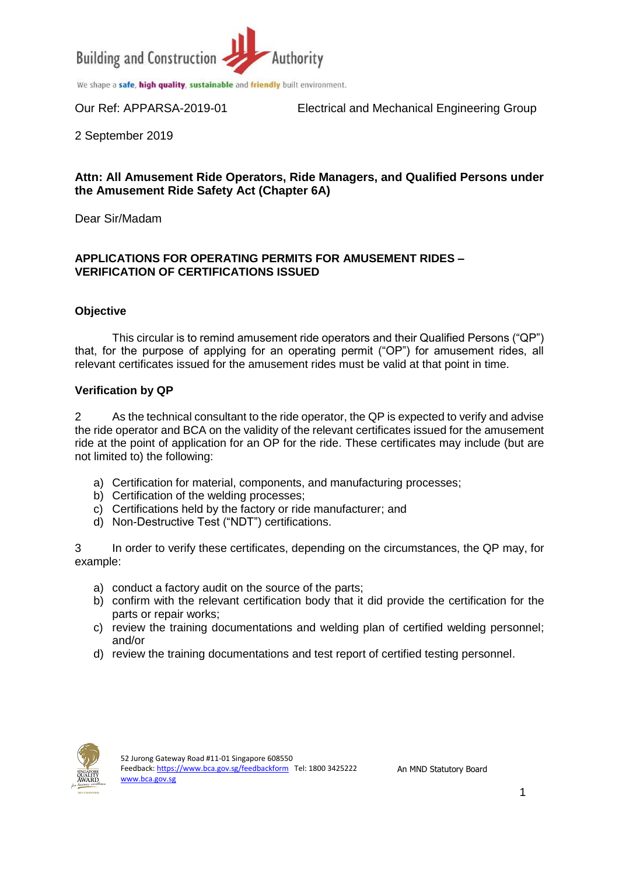

We shape a safe, high quality, sustainable and friendly built environment.

Our Ref: APPARSA-2019-01 Electrical and Mechanical Engineering Group

2 September 2019

## **Attn: All Amusement Ride Operators, Ride Managers, and Qualified Persons under the Amusement Ride Safety Act (Chapter 6A)**

Dear Sir/Madam

### **APPLICATIONS FOR OPERATING PERMITS FOR AMUSEMENT RIDES – VERIFICATION OF CERTIFICATIONS ISSUED**

#### **Objective**

This circular is to remind amusement ride operators and their Qualified Persons ("QP") that, for the purpose of applying for an operating permit ("OP") for amusement rides, all relevant certificates issued for the amusement rides must be valid at that point in time.

#### **Verification by QP**

2 As the technical consultant to the ride operator, the QP is expected to verify and advise the ride operator and BCA on the validity of the relevant certificates issued for the amusement ride at the point of application for an OP for the ride. These certificates may include (but are not limited to) the following:

- a) Certification for material, components, and manufacturing processes;
- b) Certification of the welding processes;
- c) Certifications held by the factory or ride manufacturer; and
- d) Non-Destructive Test ("NDT") certifications.

3 In order to verify these certificates, depending on the circumstances, the QP may, for example:

- a) conduct a factory audit on the source of the parts;
- b) confirm with the relevant certification body that it did provide the certification for the parts or repair works;
- c) review the training documentations and welding plan of certified welding personnel; and/or
- d) review the training documentations and test report of certified testing personnel.